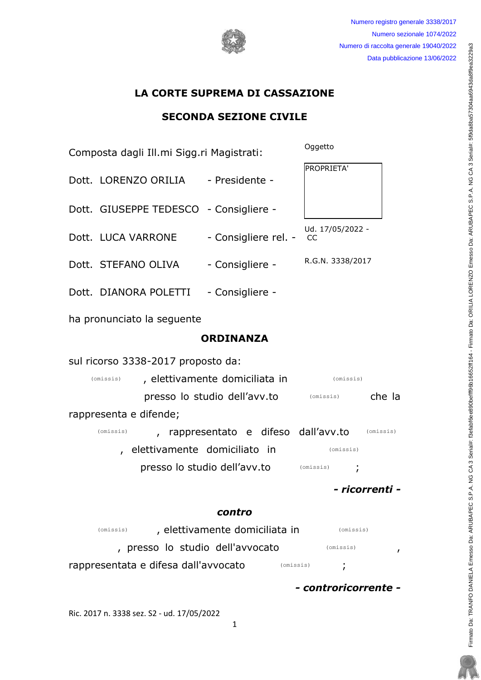Numero registro generale 3338/2017 Numero sezionale 1074/2022 Numero di raccolta generale 19040/2022 Data pubblicazione 13/06/2022

# LA CORTE SUPREMA DI CASSAZIONE

## SECONDA SEZIONE CIVILE

| Composta dagli Ill.mi Sigg.ri Magistrati:                         |                                        | Oggetto                |
|-------------------------------------------------------------------|----------------------------------------|------------------------|
| Dott. LORENZO ORILIA - Presidente -                               |                                        | PROPRIETA'             |
| Dott. GIUSEPPE TEDESCO - Consigliere -                            |                                        |                        |
| Dott. LUCA VARRONE                                                | - Consigliere rel. -                   | Ud. 17/05/2022 -<br>CC |
| Dott. STEFANO OLIVA                                               | - Consigliere -                        | R.G.N. 3338/2017       |
| Dott. DIANORA POLETTI - Consigliere -                             |                                        |                        |
| ha pronunciato la seguente                                        |                                        |                        |
| <b>ORDINANZA</b>                                                  |                                        |                        |
| sul ricorso 3338-2017 proposto da:                                |                                        |                        |
| , elettivamente domiciliata in<br>(omissis)<br>(omissis)          |                                        |                        |
| presso lo studio dell'avv.to<br>che la<br>(omissis)               |                                        |                        |
| rappresenta e difende;                                            |                                        |                        |
| (omissis)                                                         | , rappresentato e difeso dall'avv.to   | (omissis)              |
| , elettivamente domiciliato in<br>(omissis)                       |                                        |                        |
|                                                                   | presso lo studio dell'avv.to (Omissis) |                        |
| - ricorrenti -                                                    |                                        |                        |
| contro                                                            |                                        |                        |
| , elettivamente domiciliata in<br>(omissis)<br>(omissis)          |                                        |                        |
| , presso lo studio dell'avvocato<br>(omissis)<br>,                |                                        |                        |
| rappresentata e difesa dall'avvocato<br>(omissis)<br>$\mathbf{r}$ |                                        |                        |

- controricorrente -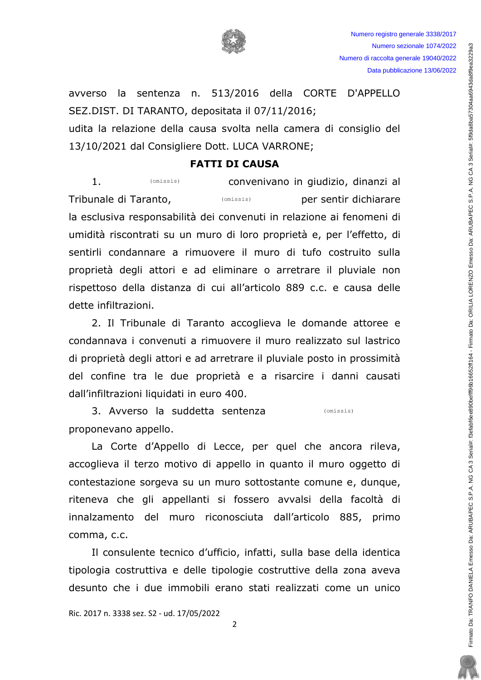

Numero registro generale 3338/2017 Numero sezionale 1074/2022 Numero di raccolta generale 19040/2022 Data pubblicazione 13/06/2022

avverso la sentenza n. 513/2016 della CORTE D'APPELLO SEZ.DIST. DI TARANTO, depositata il 07/11/2016; udita la relazione della causa svolta nella camera di consiglio del

13/10/2021 dal Consigliere Dott. LUCA VARRONE;

#### **FATTI DI CAUSA**

 $1.$ (omissis) convenivano in giudizio, dinanzi al Tribunale di Taranto, per sentir dichiarare  $(omissis)$ la esclusiva responsabilità dei convenuti in relazione ai fenomeni di umidità riscontrati su un muro di loro proprietà e, per l'effetto, di sentirli condannare a rimuovere il muro di tufo costruito sulla proprietà degli attori e ad eliminare o arretrare il pluviale non rispettoso della distanza di cui all'articolo 889 c.c. e causa delle dette infiltrazioni.

2. Il Tribunale di Taranto accoglieva le domande attoree e condannava i convenuti a rimuovere il muro realizzato sul lastrico di proprietà degli attori e ad arretrare il pluviale posto in prossimità del confine tra le due proprietà e a risarcire i danni causati dall'infiltrazioni liquidati in euro 400.

3. Avverso la suddetta sentenza (omissis) proponevano appello.

La Corte d'Appello di Lecce, per quel che ancora rileva, accoglieva il terzo motivo di appello in quanto il muro oggetto di contestazione sorgeva su un muro sottostante comune e, dunque, riteneva che gli appellanti si fossero avvalsi della facoltà di innalzamento del muro riconosciuta dall'articolo 885, primo comma, c.c.

Il consulente tecnico d'ufficio, infatti, sulla base della identica tipologia costruttiva e delle tipologie costruttive della zona aveva desunto che i due immobili erano stati realizzati come un unico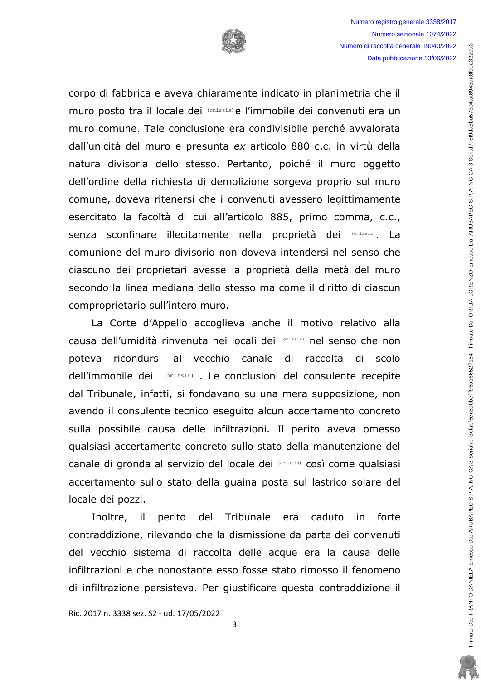

corpo di fabbrica e aveva chiaramente indicato in planimetria che il muro posto tra il locale dei (omissis) e l'immobile dei convenuti era un muro comune. Tale conclusione era condivisibile perché avvalorata dall'unicità del muro e presunta ex articolo 880 c.c. in virtù della natura divisoria dello stesso. Pertanto, poiché il muro oggetto dell'ordine della richiesta di demolizione sorgeva proprio sul muro comune, doveva ritenersi che i convenuti avessero legittimamente esercitato la facoltà di cui all'articolo 885, primo comma, c.c., senza sconfinare illecitamente nella proprietà dei (Omissis). La comunione del muro divisorio non doveva intendersi nel senso che ciascuno dei proprietari avesse la proprietà della metà del muro secondo la linea mediana dello stesso ma come il diritto di ciascun comproprietario sull'intero muro.

La Corte d'Appello accoglieva anche il motivo relativo alla causa dell'umidità rinvenuta nei locali dei (Omissis) nel senso che non poteva ricondursi al vecchio canale di raccolta di scolo dell'immobile dei (omissis). Le conclusioni del consulente recepite dal Tribunale, infatti, si fondavano su una mera supposizione, non avendo il consulente tecnico eseguito alcun accertamento concreto sulla possibile causa delle infiltrazioni. Il perito aveva omesso qualsiasi accertamento concreto sullo stato della manutenzione del canale di gronda al servizio del locale dei (Omissis) così come qualsiasi accertamento sullo stato della quaina posta sul lastrico solare del locale dei pozzi.

perito del Tribunale era caduto forte Inoltre, il in contraddizione, rilevando che la dismissione da parte dei convenuti del vecchio sistema di raccolta delle acque era la causa delle infiltrazioni e che nonostante esso fosse stato rimosso il fenomeno di infiltrazione persisteva. Per giustificare questa contraddizione il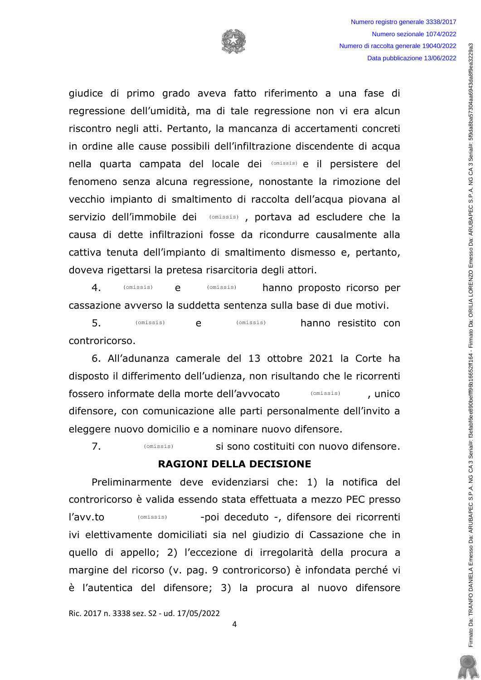giudice di primo grado aveva fatto riferimento a una fase di regressione dell'umidità, ma di tale regressione non vi era alcun riscontro negli atti. Pertanto, la mancanza di accertamenti concreti in ordine alle cause possibili dell'infiltrazione discendente di acqua nella quarta campata del locale dei (Omissis) e il persistere del fenomeno senza alcuna regressione, nonostante la rimozione del vecchio impianto di smaltimento di raccolta dell'acqua piovana al servizio dell'immobile dei (Omissis), portava ad escludere che la causa di dette infiltrazioni fosse da ricondurre causalmente alla cattiva tenuta dell'impianto di smaltimento dismesso e, pertanto, doveva rigettarsi la pretesa risarcitoria degli attori.

 $4.$  $(omissis)$ e  $(omissis)$ hanno proposto ricorso per cassazione avverso la suddetta sentenza sulla base di due motivi.

 $5<sub>1</sub>$ (omissis) hanno resistito con  $(missis)$ e controricorso.

6. All'adunanza camerale del 13 ottobre 2021 la Corte ha disposto il differimento dell'udienza, non risultando che le ricorrenti fossero informate della morte dell'avvocato  $(omissis)$ , unico difensore, con comunicazione alle parti personalmente dell'invito a eleggere nuovo domicilio e a nominare nuovo difensore.

 $7<sub>1</sub>$ si sono costituiti con nuovo difensore.  $(missis)$ 

#### **RAGIONI DELLA DECISIONE**

Preliminarmente deve evidenziarsi che: 1) la notifica del controricorso è valida essendo stata effettuata a mezzo PEC presso l'avv.to  $(omissis)$ -poi deceduto -, difensore dei ricorrenti ivi elettivamente domiciliati sia nel giudizio di Cassazione che in quello di appello; 2) l'eccezione di irregolarità della procura a margine del ricorso (v. pag. 9 controricorso) è infondata perché vi è l'autentica del difensore; 3) la procura al nuovo difensore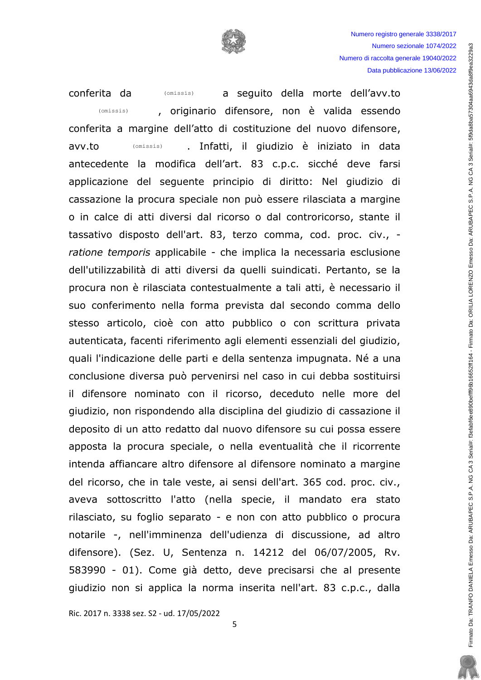

conferita da a sequito della morte dell'avv.to (omissis) , originario difensore, non è valida essendo  $(omissis)$ conferita a margine dell'atto di costituzione del nuovo difensore,  $(omissis)$ . Infatti, il giudizio è iniziato in data avv.to antecedente la modifica dell'art. 83 c.p.c. sicché deve farsi applicazione del seguente principio di diritto: Nel giudizio di cassazione la procura speciale non può essere rilasciata a margine o in calce di atti diversi dal ricorso o dal controricorso, stante il tassativo disposto dell'art. 83, terzo comma, cod. proc. civ., ratione temporis applicabile - che implica la necessaria esclusione dell'utilizzabilità di atti diversi da quelli suindicati. Pertanto, se la procura non è rilasciata contestualmente a tali atti, è necessario il suo conferimento nella forma prevista dal secondo comma dello stesso articolo, cioè con atto pubblico o con scrittura privata autenticata, facenti riferimento agli elementi essenziali del giudizio, quali l'indicazione delle parti e della sentenza impugnata. Né a una conclusione diversa può pervenirsi nel caso in cui debba sostituirsi il difensore nominato con il ricorso, deceduto nelle more del giudizio, non rispondendo alla disciplina del giudizio di cassazione il deposito di un atto redatto dal nuovo difensore su cui possa essere apposta la procura speciale, o nella eventualità che il ricorrente intenda affiancare altro difensore al difensore nominato a margine del ricorso, che in tale veste, ai sensi dell'art. 365 cod. proc. civ., aveva sottoscritto l'atto (nella specie, il mandato era stato rilasciato, su foglio separato - e non con atto pubblico o procura notarile -, nell'imminenza dell'udienza di discussione, ad altro difensore). (Sez. U, Sentenza n. 14212 del 06/07/2005, Rv. 583990 - 01). Come già detto, deve precisarsi che al presente giudizio non si applica la norma inserita nell'art. 83 c.p.c., dalla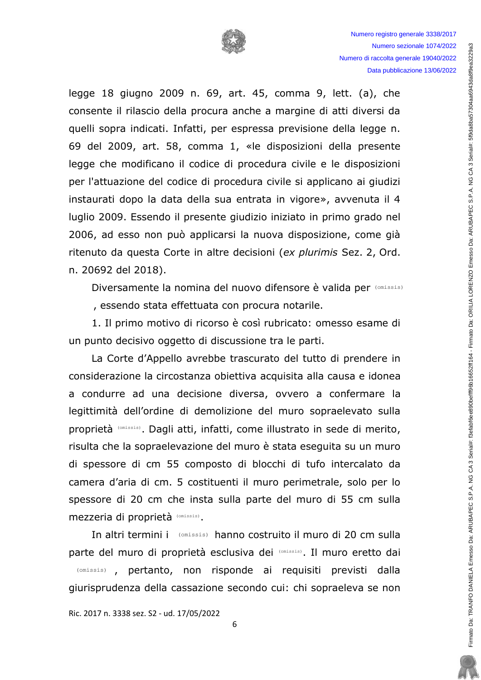

legge 18 giugno 2009 n. 69, art. 45, comma 9, lett. (a), che consente il rilascio della procura anche a margine di atti diversi da quelli sopra indicati. Infatti, per espressa previsione della legge n. 69 del 2009, art. 58, comma 1, «le disposizioni della presente legge che modificano il codice di procedura civile e le disposizioni per l'attuazione del codice di procedura civile si applicano ai giudizi instaurati dopo la data della sua entrata in vigore», avvenuta il 4 luglio 2009. Essendo il presente giudizio iniziato in primo grado nel 2006, ad esso non può applicarsi la nuova disposizione, come già ritenuto da questa Corte in altre decisioni (ex plurimis Sez. 2, Ord. n. 20692 del 2018).

Diversamente la nomina del nuovo difensore è valida per (Omissis)

, essendo stata effettuata con procura notarile.

1. Il primo motivo di ricorso è così rubricato: omesso esame di un punto decisivo oggetto di discussione tra le parti.

La Corte d'Appello avrebbe trascurato del tutto di prendere in considerazione la circostanza obiettiva acquisita alla causa e idonea a condurre ad una decisione diversa, ovvero a confermare la legittimità dell'ordine di demolizione del muro sopraelevato sulla proprietà (Omissis). Dagli atti, infatti, come illustrato in sede di merito, risulta che la sopraelevazione del muro è stata eseguita su un muro di spessore di cm 55 composto di blocchi di tufo intercalato da camera d'aria di cm. 5 costituenti il muro perimetrale, solo per lo spessore di 20 cm che insta sulla parte del muro di 55 cm sulla mezzeria di proprietà (Omissis).

In altri termini i (omissis) hanno costruito il muro di 20 cm sulla parte del muro di proprietà esclusiva dei (Omissis). Il muro eretto dai (omissis), pertanto, non risponde ai requisiti previsti dalla giurisprudenza della cassazione secondo cui: chi sopraeleva se non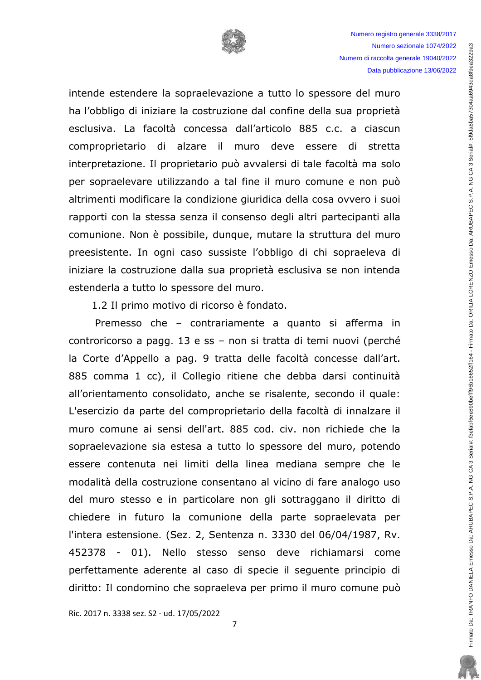

intende estendere la sopraelevazione a tutto lo spessore del muro ha l'obbligo di iniziare la costruzione dal confine della sua proprietà esclusiva. La facoltà concessa dall'articolo 885 c.c. a ciascun comproprietario di alzare il muro deve essere di stretta interpretazione. Il proprietario può avvalersi di tale facoltà ma solo per sopraelevare utilizzando a tal fine il muro comune e non può altrimenti modificare la condizione giuridica della cosa ovvero i suoi rapporti con la stessa senza il consenso degli altri partecipanti alla comunione. Non è possibile, dunque, mutare la struttura del muro preesistente. In ogni caso sussiste l'obbligo di chi sopraeleva di iniziare la costruzione dalla sua proprietà esclusiva se non intenda estenderla a tutto lo spessore del muro.

1.2 Il primo motivo di ricorso è fondato.

Premesso che – contrariamente a quanto si afferma in controricorso a pagg. 13 e ss - non si tratta di temi nuovi (perché la Corte d'Appello a pag. 9 tratta delle facoltà concesse dall'art. 885 comma 1 cc), il Collegio ritiene che debba darsi continuità all'orientamento consolidato, anche se risalente, secondo il quale: L'esercizio da parte del comproprietario della facoltà di innalzare il muro comune ai sensi dell'art. 885 cod. civ. non richiede che la sopraelevazione sia estesa a tutto lo spessore del muro, potendo essere contenuta nei limiti della linea mediana sempre che le modalità della costruzione consentano al vicino di fare analogo uso del muro stesso e in particolare non gli sottraggano il diritto di chiedere in futuro la comunione della parte sopraelevata per l'intera estensione. (Sez. 2, Sentenza n. 3330 del 06/04/1987, Rv. 452378 - 01). Nello stesso senso deve richiamarsi come perfettamente aderente al caso di specie il sequente principio di diritto: Il condomino che sopraeleva per primo il muro comune può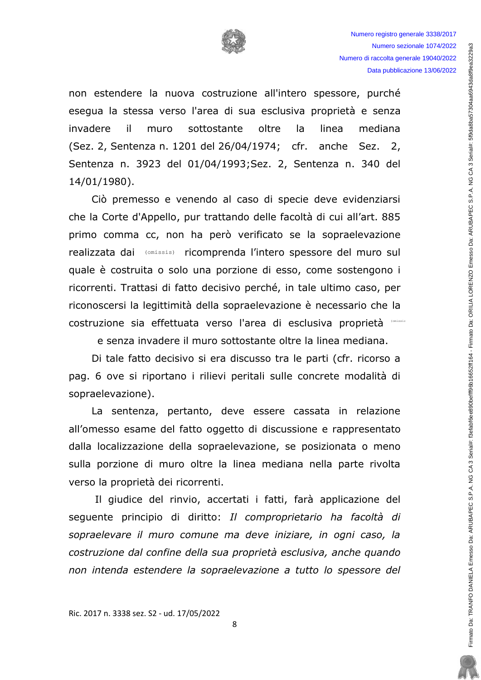

non estendere la nuova costruzione all'intero spessore, purché esegua la stessa verso l'area di sua esclusiva proprietà e senza  $\mathbf{i}$ sottostante oltre invadere muro la linea mediana (Sez. 2, Sentenza n. 1201 del 26/04/1974; cfr. anche Sez. 2, Sentenza n. 3923 del 01/04/1993; Sez. 2, Sentenza n. 340 del 14/01/1980).

Ciò premesso e venendo al caso di specie deve evidenziarsi che la Corte d'Appello, pur trattando delle facoltà di cui all'art. 885 primo comma cc, non ha però verificato se la sopraelevazione realizzata dai (Omissis) ricomprenda l'intero spessore del muro sul quale è costruita o solo una porzione di esso, come sostengono i ricorrenti. Trattasi di fatto decisivo perché, in tale ultimo caso, per riconoscersi la legittimità della sopraelevazione è necessario che la costruzione sia effettuata verso l'area di esclusiva proprietà (CMLSSASE

e senza invadere il muro sottostante oltre la linea mediana.

Di tale fatto decisivo si era discusso tra le parti (cfr. ricorso a pag. 6 ove si riportano i rilievi peritali sulle concrete modalità di sopraelevazione).

La sentenza, pertanto, deve essere cassata in relazione all'omesso esame del fatto oggetto di discussione e rappresentato dalla localizzazione della sopraelevazione, se posizionata o meno sulla porzione di muro oltre la linea mediana nella parte rivolta verso la proprietà dei ricorrenti.

Il giudice del rinvio, accertati i fatti, farà applicazione del sequente principio di diritto: Il comproprietario ha facoltà di sopraelevare il muro comune ma deve iniziare, in ogni caso, la costruzione dal confine della sua proprietà esclusiva, anche quando non intenda estendere la sopraelevazione a tutto lo spessore del